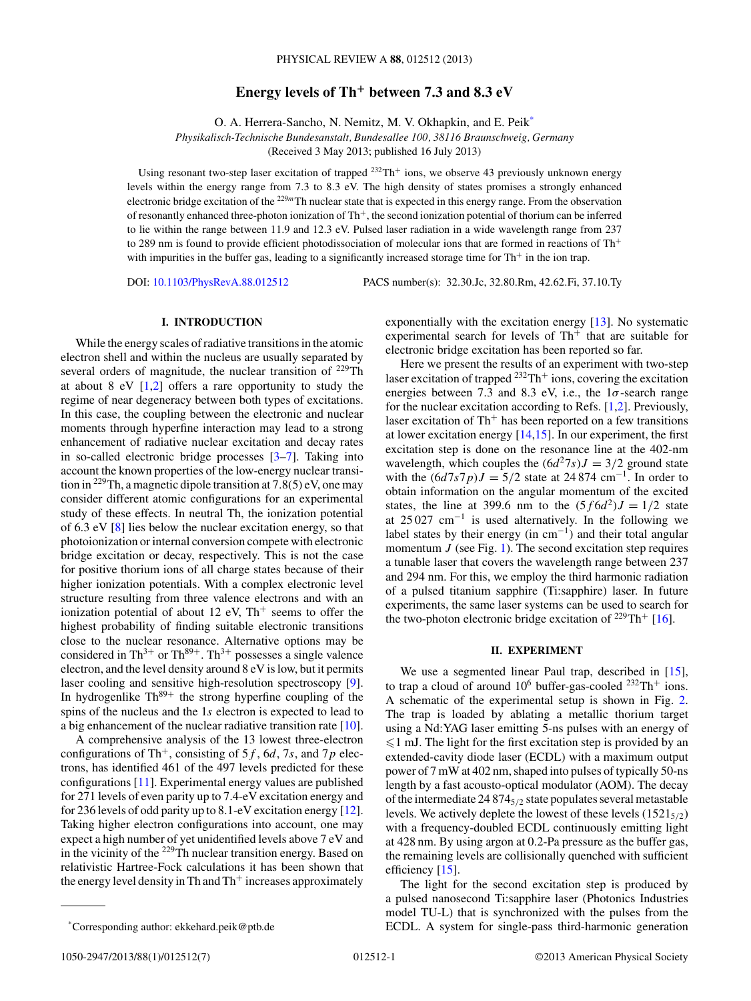# **Energy levels of Th<sup>+</sup> between 7.3 and 8.3 eV**

O. A. Herrera-Sancho, N. Nemitz, M. V. Okhapkin, and E. Peik\*

*Physikalisch-Technische Bundesanstalt, Bundesallee 100, 38116 Braunschweig, Germany*

(Received 3 May 2013; published 16 July 2013)

Using resonant two-step laser excitation of trapped 232Th<sup>+</sup> ions, we observe 43 previously unknown energy levels within the energy range from 7*.*3 to 8*.*3 eV. The high density of states promises a strongly enhanced electronic bridge excitation of the <sup>229</sup>*<sup>m</sup>*Th nuclear state that is expected in this energy range. From the observation of resonantly enhanced three-photon ionization of Th+, the second ionization potential of thorium can be inferred to lie within the range between 11.9 and 12.3 eV. Pulsed laser radiation in a wide wavelength range from 237 to 289 nm is found to provide efficient photodissociation of molecular ions that are formed in reactions of Th<sup>+</sup> with impurities in the buffer gas, leading to a significantly increased storage time for Th+ in the ion trap.

DOI: [10.1103/PhysRevA.88.012512](http://dx.doi.org/10.1103/PhysRevA.88.012512) PACS number(s): 32*.*30*.*Jc, 32*.*80*.*Rm, 42*.*62*.*Fi, 37*.*10*.*Ty

### **I. INTRODUCTION**

While the energy scales of radiative transitions in the atomic electron shell and within the nucleus are usually separated by several orders of magnitude, the nuclear transition of  $^{229}$ Th at about 8 eV  $[1,2]$  offers a rare opportunity to study the regime of near degeneracy between both types of excitations. In this case, the coupling between the electronic and nuclear moments through hyperfine interaction may lead to a strong enhancement of radiative nuclear excitation and decay rates in so-called electronic bridge processes [\[3–7\]](#page-5-0). Taking into account the known properties of the low-energy nuclear transition in 229Th, a magnetic dipole transition at 7*.*8(5) eV, one may consider different atomic configurations for an experimental study of these effects. In neutral Th, the ionization potential of 6.3 eV [\[8\]](#page-5-0) lies below the nuclear excitation energy, so that photoionization or internal conversion compete with electronic bridge excitation or decay, respectively. This is not the case for positive thorium ions of all charge states because of their higher ionization potentials. With a complex electronic level structure resulting from three valence electrons and with an ionization potential of about 12 eV,  $Th<sup>+</sup>$  seems to offer the highest probability of finding suitable electronic transitions close to the nuclear resonance. Alternative options may be considered in Th<sup>3+</sup> or Th<sup>89+</sup>. Th<sup>3+</sup> possesses a single valence electron, and the level density around 8 eV is low, but it permits laser cooling and sensitive high-resolution spectroscopy [\[9\]](#page-5-0). In hydrogenlike  $Th^{89+}$  the strong hyperfine coupling of the spins of the nucleus and the 1*s* electron is expected to lead to a big enhancement of the nuclear radiative transition rate [\[10\]](#page-5-0).

A comprehensive analysis of the 13 lowest three-electron configurations of Th+, consisting of 5*f* , 6*d*, 7*s*, and 7*p* electrons, has identified 461 of the 497 levels predicted for these configurations [\[11\]](#page-5-0). Experimental energy values are published for 271 levels of even parity up to 7.4-eV excitation energy and for 236 levels of odd parity up to 8.1-eV excitation energy [\[12\]](#page-5-0). Taking higher electron configurations into account, one may expect a high number of yet unidentified levels above 7 eV and in the vicinity of the <sup>229</sup>Th nuclear transition energy. Based on relativistic Hartree-Fock calculations it has been shown that the energy level density in Th and  $Th<sup>+</sup>$  increases approximately

exponentially with the excitation energy [\[13\]](#page-6-0). No systematic experimental search for levels of  $Th<sup>+</sup>$  that are suitable for electronic bridge excitation has been reported so far.

Here we present the results of an experiment with two-step laser excitation of trapped  $^{232}Th^+$  ions, covering the excitation energies between 7.3 and 8.3 eV, i.e., the 1*σ*-search range for the nuclear excitation according to Refs. [\[1,2\]](#page-5-0). Previously, laser excitation of  $Th<sup>+</sup>$  has been reported on a few transitions at lower excitation energy  $[14,15]$ . In our experiment, the first excitation step is done on the resonance line at the 402-nm wavelength, which couples the  $(6d^27s)J = 3/2$  ground state with the  $(6d7s7p)J = 5/2$  state at 24 874 cm<sup>-1</sup>. In order to obtain information on the angular momentum of the excited states, the line at 399.6 nm to the  $(5f6d^2)J = 1/2$  state at  $25027 \text{ cm}^{-1}$  is used alternatively. In the following we label states by their energy (in cm−1) and their total angular momentum  $J$  (see Fig. [1\)](#page-1-0). The second excitation step requires a tunable laser that covers the wavelength range between 237 and 294 nm. For this, we employ the third harmonic radiation of a pulsed titanium sapphire (Ti:sapphire) laser. In future experiments, the same laser systems can be used to search for the two-photon electronic bridge excitation of  $229 \text{Th}^+$  [\[16\]](#page-6-0).

#### **II. EXPERIMENT**

We use a segmented linear Paul trap, described in [\[15\]](#page-6-0), to trap a cloud of around  $10^6$  buffer-gas-cooled  $^{232}Th^+$  ions. A schematic of the experimental setup is shown in Fig. [2.](#page-1-0) The trap is loaded by ablating a metallic thorium target using a Nd:YAG laser emitting 5-ns pulses with an energy of  $\leq 1$  mJ. The light for the first excitation step is provided by an extended-cavity diode laser (ECDL) with a maximum output power of 7 mW at 402 nm, shaped into pulses of typically 50-ns length by a fast acousto-optical modulator (AOM). The decay of the intermediate 24 8745*/*<sup>2</sup> state populates several metastable levels. We actively deplete the lowest of these levels  $(1521_{5/2})$ with a frequency-doubled ECDL continuously emitting light at 428 nm. By using argon at 0.2-Pa pressure as the buffer gas, the remaining levels are collisionally quenched with sufficient efficiency [\[15\]](#page-6-0).

The light for the second excitation step is produced by a pulsed nanosecond Ti:sapphire laser (Photonics Industries model TU-L) that is synchronized with the pulses from the ECDL. A system for single-pass third-harmonic generation

<sup>\*</sup>Corresponding author: ekkehard.peik@ptb.de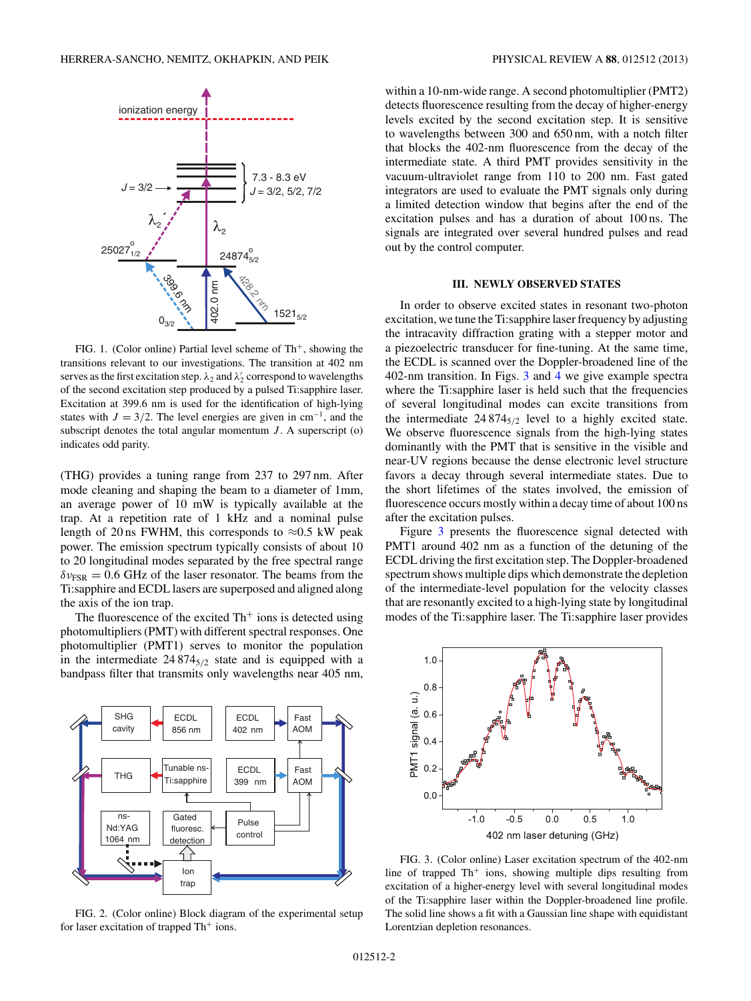<span id="page-1-0"></span>

FIG. 1. (Color online) Partial level scheme of  $Th<sup>+</sup>$ , showing the transitions relevant to our investigations. The transition at 402 nm serves as the first excitation step.  $\lambda_2$  and  $\lambda'_2$  correspond to wavelengths of the second excitation step produced by a pulsed Ti:sapphire laser. Excitation at 399.6 nm is used for the identification of high-lying states with  $J = 3/2$ . The level energies are given in cm<sup>-1</sup>, and the subscript denotes the total angular momentum  $J$ . A superscript  $(o)$ indicates odd parity.

(THG) provides a tuning range from 237 to 297 nm. After mode cleaning and shaping the beam to a diameter of 1mm, an average power of 10 mW is typically available at the trap. At a repetition rate of 1 kHz and a nominal pulse length of 20 ns FWHM, this corresponds to  $\approx 0.5$  kW peak power. The emission spectrum typically consists of about 10 to 20 longitudinal modes separated by the free spectral range  $\delta v_{FSR} = 0.6$  GHz of the laser resonator. The beams from the Ti:sapphire and ECDL lasers are superposed and aligned along the axis of the ion trap.

The fluorescence of the excited  $Th<sup>+</sup>$  ions is detected using photomultipliers (PMT) with different spectral responses. One photomultiplier (PMT1) serves to monitor the population in the intermediate  $24874_{5/2}$  state and is equipped with a bandpass filter that transmits only wavelengths near 405 nm,



FIG. 2. (Color online) Block diagram of the experimental setup for laser excitation of trapped  $Th<sup>+</sup>$  ions.

within a 10-nm-wide range. A second photomultiplier (PMT2) detects fluorescence resulting from the decay of higher-energy levels excited by the second excitation step. It is sensitive to wavelengths between 300 and 650 nm, with a notch filter that blocks the 402-nm fluorescence from the decay of the intermediate state. A third PMT provides sensitivity in the vacuum-ultraviolet range from 110 to 200 nm. Fast gated integrators are used to evaluate the PMT signals only during a limited detection window that begins after the end of the excitation pulses and has a duration of about 100 ns. The signals are integrated over several hundred pulses and read out by the control computer.

#### **III. NEWLY OBSERVED STATES**

In order to observe excited states in resonant two-photon excitation, we tune the Ti:sapphire laser frequency by adjusting the intracavity diffraction grating with a stepper motor and a piezoelectric transducer for fine-tuning. At the same time, the ECDL is scanned over the Doppler-broadened line of the 402-nm transition. In Figs. 3 and [4](#page-2-0) we give example spectra where the Ti:sapphire laser is held such that the frequencies of several longitudinal modes can excite transitions from the intermediate  $24874_{5/2}$  level to a highly excited state. We observe fluorescence signals from the high-lying states dominantly with the PMT that is sensitive in the visible and near-UV regions because the dense electronic level structure favors a decay through several intermediate states. Due to the short lifetimes of the states involved, the emission of fluorescence occurs mostly within a decay time of about 100 ns after the excitation pulses.

Figure 3 presents the fluorescence signal detected with PMT1 around 402 nm as a function of the detuning of the ECDL driving the first excitation step. The Doppler-broadened spectrum shows multiple dips which demonstrate the depletion of the intermediate-level population for the velocity classes that are resonantly excited to a high-lying state by longitudinal modes of the Ti:sapphire laser. The Ti:sapphire laser provides



FIG. 3. (Color online) Laser excitation spectrum of the 402-nm line of trapped  $Th<sup>+</sup>$  ions, showing multiple dips resulting from excitation of a higher-energy level with several longitudinal modes of the Ti:sapphire laser within the Doppler-broadened line profile. The solid line shows a fit with a Gaussian line shape with equidistant Lorentzian depletion resonances.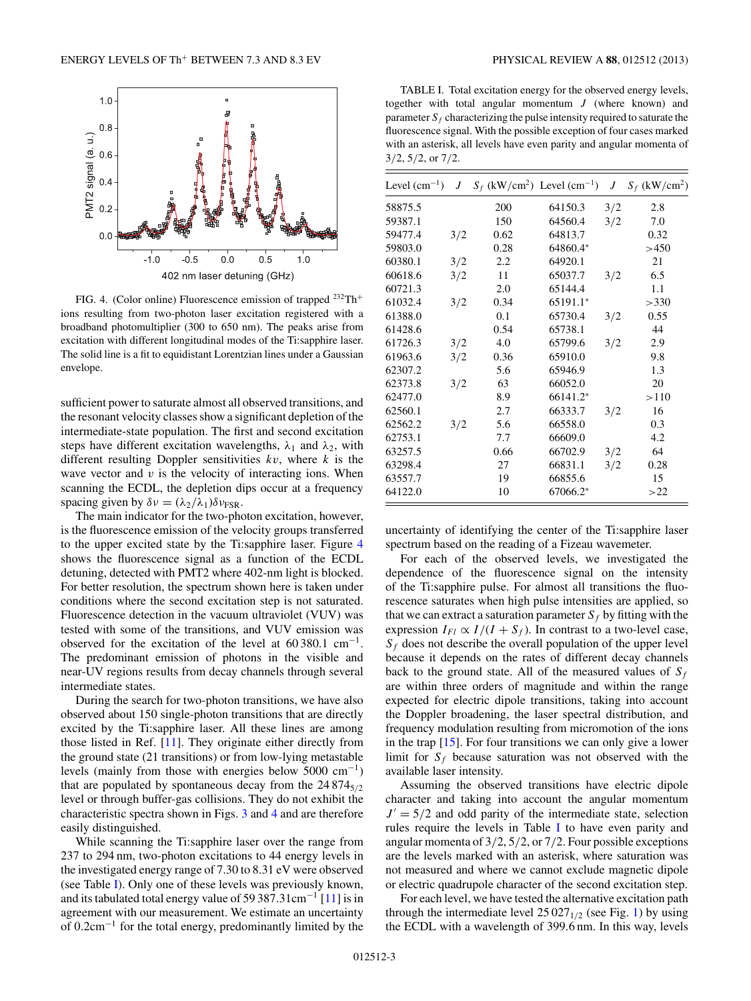<span id="page-2-0"></span>

FIG. 4. (Color online) Fluorescence emission of trapped 232Th<sup>+</sup> ions resulting from two-photon laser excitation registered with a broadband photomultiplier (300 to 650 nm). The peaks arise from excitation with different longitudinal modes of the Ti:sapphire laser. The solid line is a fit to equidistant Lorentzian lines under a Gaussian envelope.

sufficient power to saturate almost all observed transitions, and the resonant velocity classes show a significant depletion of the intermediate-state population. The first and second excitation steps have different excitation wavelengths,  $\lambda_1$  and  $\lambda_2$ , with different resulting Doppler sensitivities *kv*, where *k* is the wave vector and  $v$  is the velocity of interacting ions. When scanning the ECDL, the depletion dips occur at a frequency spacing given by  $\delta v = (\lambda_2/\lambda_1)\delta v_{FSR}$ .

The main indicator for the two-photon excitation, however, is the fluorescence emission of the velocity groups transferred to the upper excited state by the Ti:sapphire laser. Figure 4 shows the fluorescence signal as a function of the ECDL detuning, detected with PMT2 where 402-nm light is blocked. For better resolution, the spectrum shown here is taken under conditions where the second excitation step is not saturated. Fluorescence detection in the vacuum ultraviolet (VUV) was tested with some of the transitions, and VUV emission was observed for the excitation of the level at  $60\,380.1 \text{ cm}^{-1}$ . The predominant emission of photons in the visible and near-UV regions results from decay channels through several intermediate states.

During the search for two-photon transitions, we have also observed about 150 single-photon transitions that are directly excited by the Ti:sapphire laser. All these lines are among those listed in Ref. [\[11\]](#page-5-0). They originate either directly from the ground state (21 transitions) or from low-lying metastable levels (mainly from those with energies below 5000 cm−1) that are populated by spontaneous decay from the  $24874_{5/2}$ level or through buffer-gas collisions. They do not exhibit the characteristic spectra shown in Figs. [3](#page-1-0) and 4 and are therefore easily distinguished.

While scanning the Ti:sapphire laser over the range from 237 to 294 nm, two-photon excitations to 44 energy levels in the investigated energy range of 7.30 to 8.31 eV were observed (see Table I). Only one of these levels was previously known, and its tabulated total energy value of 59 387*.*31cm−<sup>1</sup> [\[11\]](#page-5-0) is in agreement with our measurement. We estimate an uncertainty of 0*.*2cm−<sup>1</sup> for the total energy, predominantly limited by the

TABLE I. Total excitation energy for the observed energy levels, together with total angular momentum *J* (where known) and parameter  $S_f$  characterizing the pulse intensity required to saturate the fluorescence signal. With the possible exception of four cases marked with an asterisk, all levels have even parity and angular momenta of 3*/*2, 5*/*2, or 7*/*2.

| Level $(cm^{-1})$ | J   |      | $S_f$ (kW/cm <sup>2</sup> ) Level (cm <sup>-1</sup> ) | $J_{-}$ | $S_f$ (kW/cm <sup>2</sup> ) |
|-------------------|-----|------|-------------------------------------------------------|---------|-----------------------------|
| 58875.5           |     | 200  | 64150.3                                               | 3/2     | 2.8                         |
| 59387.1           |     | 150  | 64560.4                                               | 3/2     | 7.0                         |
| 59477.4           | 3/2 | 0.62 | 64813.7                                               |         | 0.32                        |
| 59803.0           |     | 0.28 | 64860.4*                                              |         | >450                        |
| 60380.1           | 3/2 | 2.2  | 64920.1                                               |         | 21                          |
| 60618.6           | 3/2 | 11   | 65037.7                                               | 3/2     | 6.5                         |
| 60721.3           |     | 2.0  | 65144.4                                               |         | 1.1                         |
| 61032.4           | 3/2 | 0.34 | 65191.1*                                              |         | >330                        |
| 61388.0           |     | 0.1  | 65730.4                                               | 3/2     | 0.55                        |
| 61428.6           |     | 0.54 | 65738.1                                               |         | 44                          |
| 61726.3           | 3/2 | 4.0  | 65799.6                                               | 3/2     | 2.9                         |
| 61963.6           | 3/2 | 0.36 | 65910.0                                               |         | 9.8                         |
| 62307.2           |     | 5.6  | 65946.9                                               |         | 1.3                         |
| 62373.8           | 3/2 | 63   | 66052.0                                               |         | 20                          |
| 62477.0           |     | 8.9  | 66141.2*                                              |         | >110                        |
| 62560.1           |     | 2.7  | 66333.7                                               | 3/2     | 16                          |
| 62562.2           | 3/2 | 5.6  | 66558.0                                               |         | 0.3                         |
| 62753.1           |     | 7.7  | 66609.0                                               |         | 4.2                         |
| 63257.5           |     | 0.66 | 66702.9                                               | 3/2     | 64                          |
| 63298.4           |     | 27   | 66831.1                                               | 3/2     | 0.28                        |
| 63557.7           |     | 19   | 66855.6                                               |         | 15                          |
| 64122.0           |     | 10   | 67066.2*                                              |         | >22                         |

uncertainty of identifying the center of the Ti:sapphire laser spectrum based on the reading of a Fizeau wavemeter.

For each of the observed levels, we investigated the dependence of the fluorescence signal on the intensity of the Ti:sapphire pulse. For almost all transitions the fluorescence saturates when high pulse intensities are applied, so that we can extract a saturation parameter  $S_f$  by fitting with the expression  $I_{FI} \propto I/(I + S_f)$ . In contrast to a two-level case,  $S_f$  does not describe the overall population of the upper level because it depends on the rates of different decay channels back to the ground state. All of the measured values of  $S_f$ are within three orders of magnitude and within the range expected for electric dipole transitions, taking into account the Doppler broadening, the laser spectral distribution, and frequency modulation resulting from micromotion of the ions in the trap [\[15\]](#page-6-0). For four transitions we can only give a lower limit for  $S_f$  because saturation was not observed with the available laser intensity.

Assuming the observed transitions have electric dipole character and taking into account the angular momentum  $J' = 5/2$  and odd parity of the intermediate state, selection rules require the levels in Table I to have even parity and angular momenta of 3*/*2, 5*/*2, or 7*/*2. Four possible exceptions are the levels marked with an asterisk, where saturation was not measured and where we cannot exclude magnetic dipole or electric quadrupole character of the second excitation step.

For each level, we have tested the alternative excitation path through the intermediate level  $25027_{1/2}$  (see Fig. [1\)](#page-1-0) by using the ECDL with a wavelength of 399*.*6 nm. In this way, levels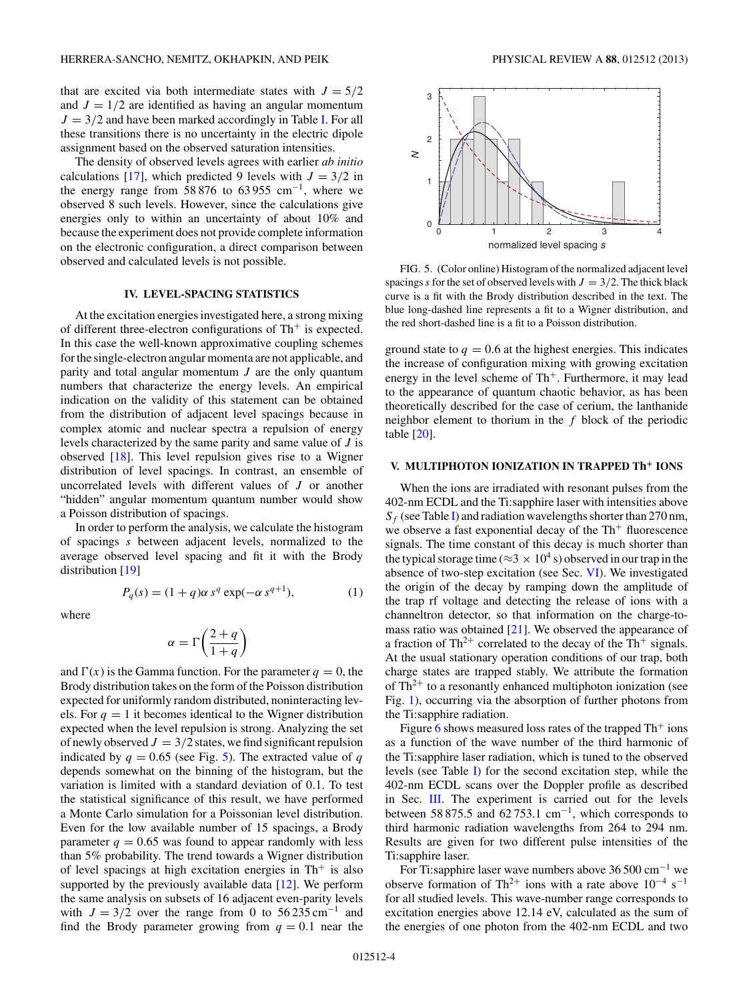<span id="page-3-0"></span>that are excited via both intermediate states with  $J = 5/2$ and  $J = 1/2$  are identified as having an angular momentum  $J = 3/2$  and have been marked accordingly in Table [I.](#page-2-0) For all these transitions there is no uncertainty in the electric dipole assignment based on the observed saturation intensities.

The density of observed levels agrees with earlier *ab initio* calculations [\[17\]](#page-6-0), which predicted 9 levels with  $J = 3/2$  in the energy range from  $58\,876$  to  $63\,955$  cm<sup>-1</sup>, where we observed 8 such levels. However, since the calculations give energies only to within an uncertainty of about 10% and because the experiment does not provide complete information on the electronic configuration, a direct comparison between observed and calculated levels is not possible.

#### **IV. LEVEL-SPACING STATISTICS**

At the excitation energies investigated here, a strong mixing of different three-electron configurations of  $Th<sup>+</sup>$  is expected. In this case the well-known approximative coupling schemes for the single-electron angular momenta are not applicable, and parity and total angular momentum *J* are the only quantum numbers that characterize the energy levels. An empirical indication on the validity of this statement can be obtained from the distribution of adjacent level spacings because in complex atomic and nuclear spectra a repulsion of energy levels characterized by the same parity and same value of *J* is observed [\[18\]](#page-6-0). This level repulsion gives rise to a Wigner distribution of level spacings. In contrast, an ensemble of uncorrelated levels with different values of *J* or another "hidden" angular momentum quantum number would show a Poisson distribution of spacings.

In order to perform the analysis, we calculate the histogram of spacings *s* between adjacent levels, normalized to the average observed level spacing and fit it with the Brody distribution [\[19\]](#page-6-0)

where

$$
\alpha=\Gamma\bigg(\frac{2+q}{1+q}\bigg)
$$

 $P_q(s) = (1 + q)\alpha s^q \exp(-\alpha s^{q+1}),$ 

and  $\Gamma(x)$  is the Gamma function. For the parameter  $q = 0$ , the Brody distribution takes on the form of the Poisson distribution expected for uniformly random distributed, noninteracting levels. For  $q = 1$  it becomes identical to the Wigner distribution expected when the level repulsion is strong. Analyzing the set of newly observed  $J = 3/2$  states, we find significant repulsion indicated by  $q = 0.65$  (see Fig. 5). The extracted value of  $q = 0.65$ depends somewhat on the binning of the histogram, but the variation is limited with a standard deviation of 0*.*1. To test the statistical significance of this result, we have performed a Monte Carlo simulation for a Poissonian level distribution. Even for the low available number of 15 spacings, a Brody parameter  $q = 0.65$  was found to appear randomly with less than 5% probability. The trend towards a Wigner distribution of level spacings at high excitation energies in  $Th<sup>+</sup>$  is also supported by the previously available data [\[12\]](#page-5-0). We perform the same analysis on subsets of 16 adjacent even-parity levels with  $J = 3/2$  over the range from 0 to 56 235 cm<sup>-1</sup> and find the Brody parameter growing from  $q = 0.1$  near the



FIG. 5. (Color online) Histogram of the normalized adjacent level spacings *s* for the set of observed levels with  $J = 3/2$ . The thick black curve is a fit with the Brody distribution described in the text. The blue long-dashed line represents a fit to a Wigner distribution, and the red short-dashed line is a fit to a Poisson distribution.

ground state to  $q = 0.6$  at the highest energies. This indicates the increase of configuration mixing with growing excitation energy in the level scheme of  $Th<sup>+</sup>$ . Furthermore, it may lead to the appearance of quantum chaotic behavior, as has been theoretically described for the case of cerium, the lanthanide neighbor element to thorium in the *f* block of the periodic table [\[20\]](#page-6-0).

#### **V. MULTIPHOTON IONIZATION IN TRAPPED Th<sup>+</sup> IONS**

When the ions are irradiated with resonant pulses from the 402-nm ECDL and the Ti:sapphire laser with intensities above  $S_f$  (see Table [I\)](#page-2-0) and radiation wavelengths shorter than 270 nm, we observe a fast exponential decay of the  $Th<sup>+</sup>$  fluorescence signals. The time constant of this decay is much shorter than the typical storage time ( $\approx$ 3  $\times$  10<sup>4</sup> s) observed in our trap in the absence of two-step excitation (see Sec. [VI\)](#page-4-0). We investigated the origin of the decay by ramping down the amplitude of the trap rf voltage and detecting the release of ions with a channeltron detector, so that information on the charge-tomass ratio was obtained  $[21]$ . We observed the appearance of a fraction of  $Th^{2+}$  correlated to the decay of the Th<sup>+</sup> signals. At the usual stationary operation conditions of our trap, both charge states are trapped stably. We attribute the formation of  $Th^{2+}$  to a resonantly enhanced multiphoton ionization (see Fig. [1\)](#page-1-0), occurring via the absorption of further photons from the Ti:sapphire radiation.

Figure [6](#page-4-0) shows measured loss rates of the trapped  $Th<sup>+</sup>$  ions as a function of the wave number of the third harmonic of the Ti:sapphire laser radiation, which is tuned to the observed levels (see Table [I\)](#page-2-0) for the second excitation step, while the 402-nm ECDL scans over the Doppler profile as described in Sec. [III.](#page-1-0) The experiment is carried out for the levels between 58 875.5 and 62 753.1 cm−1, which corresponds to third harmonic radiation wavelengths from 264 to 294 nm. Results are given for two different pulse intensities of the Ti:sapphire laser.

For Ti:sapphire laser wave numbers above 36 500 cm−<sup>1</sup> we observe formation of Th<sup>2+</sup> ions with a rate above  $10^{-4}$  s<sup>-1</sup> for all studied levels. This wave-number range corresponds to excitation energies above 12.14 eV, calculated as the sum of the energies of one photon from the 402-nm ECDL and two

)*,* (1)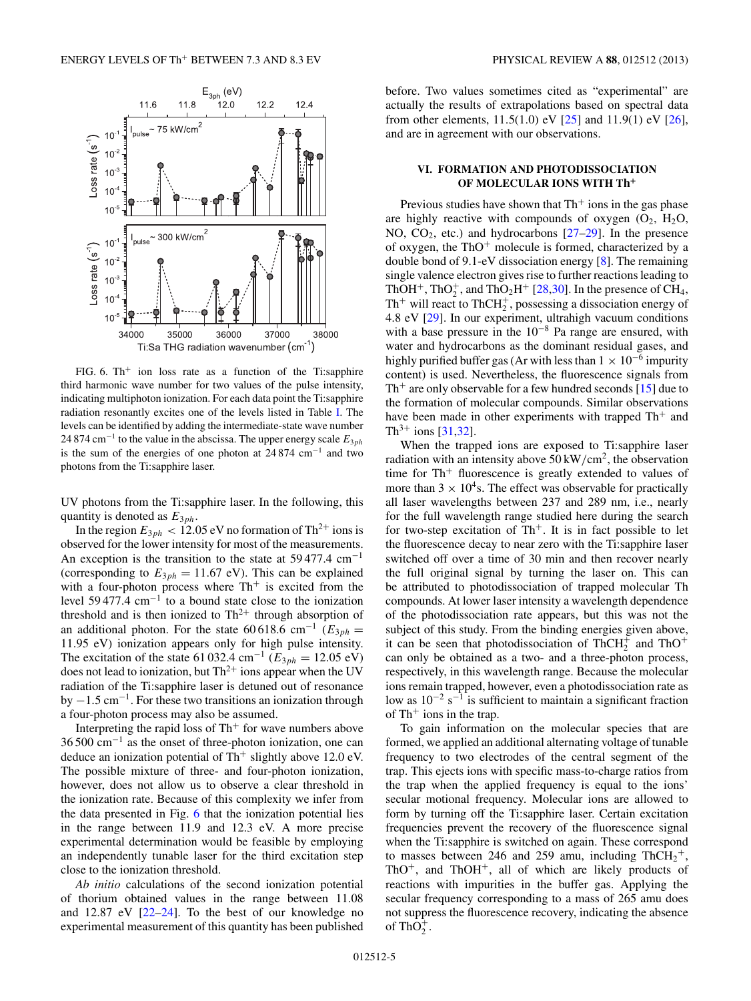<span id="page-4-0"></span>

FIG. 6. Th<sup>+</sup> ion loss rate as a function of the Ti:sapphire third harmonic wave number for two values of the pulse intensity, indicating multiphoton ionization. For each data point the Ti:sapphire radiation resonantly excites one of the levels listed in Table [I.](#page-2-0) The levels can be identified by adding the intermediate-state wave number 24 874 cm−<sup>1</sup> to the value in the abscissa. The upper energy scale *E*3*ph* is the sum of the energies of one photon at  $24874 \text{ cm}^{-1}$  and two photons from the Ti:sapphire laser.

UV photons from the Ti:sapphire laser. In the following, this quantity is denoted as *E*3*ph*.

In the region  $E_{3ph}$  < 12.05 eV no formation of Th<sup>2+</sup> ions is observed for the lower intensity for most of the measurements. An exception is the transition to the state at  $59477.4 \text{ cm}^{-1}$ (corresponding to  $E_{3ph} = 11.67$  eV). This can be explained with a four-photon process where  $Th<sup>+</sup>$  is excited from the level 59 477.4 cm−<sup>1</sup> to a bound state close to the ionization threshold and is then ionized to  $Th^{2+}$  through absorption of an additional photon. For the state 60 618.6 cm<sup>-1</sup> ( $E_{3ph}$  = 11*.*95 eV) ionization appears only for high pulse intensity. The excitation of the state 61 032.4 cm<sup>-1</sup> ( $E_{3ph} = 12.05$  eV) does not lead to ionization, but  $Th^{2+}$  ions appear when the UV radiation of the Ti:sapphire laser is detuned out of resonance by <sup>−</sup>1*.*5 cm−1. For these two transitions an ionization through a four-photon process may also be assumed.

Interpreting the rapid loss of  $Th<sup>+</sup>$  for wave numbers above 36 500 cm−<sup>1</sup> as the onset of three-photon ionization, one can deduce an ionization potential of  $Th<sup>+</sup>$  slightly above 12.0 eV. The possible mixture of three- and four-photon ionization, however, does not allow us to observe a clear threshold in the ionization rate. Because of this complexity we infer from the data presented in Fig. 6 that the ionization potential lies in the range between 11.9 and 12.3 eV. A more precise experimental determination would be feasible by employing an independently tunable laser for the third excitation step close to the ionization threshold.

*Ab initio* calculations of the second ionization potential of thorium obtained values in the range between 11.08 and 12.87 eV [\[22–24\]](#page-6-0). To the best of our knowledge no experimental measurement of this quantity has been published before. Two values sometimes cited as "experimental" are actually the results of extrapolations based on spectral data from other elements, 11*.*5(1*.*0) eV [\[25\]](#page-6-0) and 11*.*9(1) eV [\[26\]](#page-6-0), and are in agreement with our observations.

### **VI. FORMATION AND PHOTODISSOCIATION OF MOLECULAR IONS WITH Th<sup>+</sup>**

Previous studies have shown that  $Th<sup>+</sup>$  ions in the gas phase are highly reactive with compounds of oxygen  $(O_2, H_2O,$ NO,  $CO<sub>2</sub>$ , etc.) and hydrocarbons  $[27–29]$ . In the presence of oxygen, the  $ThO<sup>+</sup>$  molecule is formed, characterized by a double bond of 9.1-eV dissociation energy [\[8\]](#page-5-0). The remaining single valence electron gives rise to further reactions leading to ThOH<sup>+</sup>, ThO<sub>2</sub><sup>+</sup>, and ThO<sub>2</sub>H<sup>+</sup> [\[28,30\]](#page-6-0). In the presence of CH<sub>4</sub>,  $Th<sup>+</sup>$  will react to  $ThCH<sub>2</sub><sup>+</sup>$ , possessing a dissociation energy of 4.8 eV [\[29\]](#page-6-0). In our experiment, ultrahigh vacuum conditions with a base pressure in the 10−<sup>8</sup> Pa range are ensured, with water and hydrocarbons as the dominant residual gases, and highly purified buffer gas (Ar with less than  $1 \times 10^{-6}$  impurity content) is used. Nevertheless, the fluorescence signals from  $Th<sup>+</sup>$  are only observable for a few hundred seconds [\[15\]](#page-6-0) due to the formation of molecular compounds. Similar observations have been made in other experiments with trapped  $Th<sup>+</sup>$  and  $Th^{3+}$  ions [\[31,32\]](#page-6-0).

When the trapped ions are exposed to Ti:sapphire laser radiation with an intensity above  $50 \, \text{kW/cm}^2$ , the observation time for  $Th<sup>+</sup>$  fluorescence is greatly extended to values of more than  $3 \times 10^4$ s. The effect was observable for practically all laser wavelengths between 237 and 289 nm, i.e., nearly for the full wavelength range studied here during the search for two-step excitation of  $Th^+$ . It is in fact possible to let the fluorescence decay to near zero with the Ti:sapphire laser switched off over a time of 30 min and then recover nearly the full original signal by turning the laser on. This can be attributed to photodissociation of trapped molecular Th compounds. At lower laser intensity a wavelength dependence of the photodissociation rate appears, but this was not the subject of this study. From the binding energies given above, it can be seen that photodissociation of  $ThCH<sub>2</sub><sup>+</sup>$  and  $ThO<sup>+</sup>$ can only be obtained as a two- and a three-photon process, respectively, in this wavelength range. Because the molecular ions remain trapped, however, even a photodissociation rate as low as  $10^{-2}$  s<sup>-1</sup> is sufficient to maintain a significant fraction of  $Th<sup>+</sup>$  ions in the trap.

To gain information on the molecular species that are formed, we applied an additional alternating voltage of tunable frequency to two electrodes of the central segment of the trap. This ejects ions with specific mass-to-charge ratios from the trap when the applied frequency is equal to the ions' secular motional frequency. Molecular ions are allowed to form by turning off the Ti:sapphire laser. Certain excitation frequencies prevent the recovery of the fluorescence signal when the Ti:sapphire is switched on again. These correspond to masses between 246 and 259 amu, including  $ThCH_2^+$ ,  $ThO<sup>+</sup>$ , and  $ThOH<sup>+</sup>$ , all of which are likely products of reactions with impurities in the buffer gas. Applying the secular frequency corresponding to a mass of 265 amu does not suppress the fluorescence recovery, indicating the absence of  $ThO_2^+$ .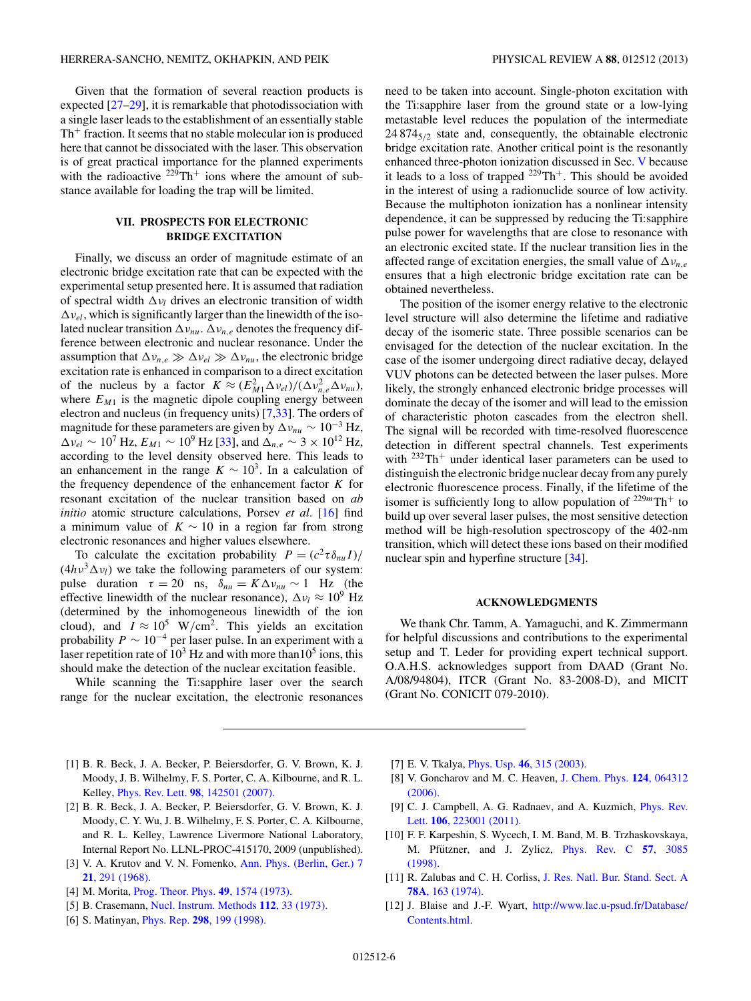<span id="page-5-0"></span>Given that the formation of several reaction products is expected [\[27–29\]](#page-6-0), it is remarkable that photodissociation with a single laser leads to the establishment of an essentially stable  $Th<sup>+</sup>$  fraction. It seems that no stable molecular ion is produced here that cannot be dissociated with the laser. This observation is of great practical importance for the planned experiments with the radioactive  $229 \text{Th}^+$  ions where the amount of substance available for loading the trap will be limited.

## **VII. PROSPECTS FOR ELECTRONIC BRIDGE EXCITATION**

Finally, we discuss an order of magnitude estimate of an electronic bridge excitation rate that can be expected with the experimental setup presented here. It is assumed that radiation of spectral width  $\Delta v_l$  drives an electronic transition of width  $\Delta v_{el}$ , which is significantly larger than the linewidth of the isolated nuclear transition  $\Delta v_{nu}$ .  $\Delta v_{n,e}$  denotes the frequency difference between electronic and nuclear resonance. Under the assumption that  $\Delta v_{n,e} \gg \Delta v_{el} \gg \Delta v_{nu}$ , the electronic bridge excitation rate is enhanced in comparison to a direct excitation of the nucleus by a factor  $K \approx (E_{M1}^2 \Delta v_{el})/(\Delta v_{n,e}^2 \Delta v_{nu}),$ where  $E_{M1}$  is the magnetic dipole coupling energy between electron and nucleus (in frequency units) [7[,33\]](#page-6-0). The orders of magnitude for these parameters are given by  $\Delta v_{nu} \sim 10^{-3}$  Hz,  $\Delta v_{el} \sim 10^7$  Hz,  $E_{M1} \sim 10^9$  Hz [\[33\]](#page-6-0), and  $\Delta_{n,e} \sim 3 \times 10^{12}$  Hz, according to the level density observed here. This leads to an enhancement in the range  $K \sim 10^3$ . In a calculation of the frequency dependence of the enhancement factor *K* for resonant excitation of the nuclear transition based on *ab initio* atomic structure calculations, Porsev *et al.* [\[16\]](#page-6-0) find a minimum value of  $K \sim 10$  in a region far from strong electronic resonances and higher values elsewhere.

To calculate the excitation probability  $P = (c^2 \tau \delta_{nn} I)/$  $(4h\nu^3\Delta\nu_l)$  we take the following parameters of our system: pulse duration  $\tau = 20$  ns,  $\delta_{nu} = K \Delta v_{nu} \sim 1$  Hz (the effective linewidth of the nuclear resonance),  $\Delta v_l \approx 10^9$  Hz (determined by the inhomogeneous linewidth of the ion cloud), and  $I \approx 10^5$  W/cm<sup>2</sup>. This yields an excitation probability  $P \sim 10^{-4}$  per laser pulse. In an experiment with a laser repetition rate of  $10^3$  Hz and with more than  $10^5$  ions, this should make the detection of the nuclear excitation feasible.

While scanning the Ti:sapphire laser over the search range for the nuclear excitation, the electronic resonances need to be taken into account. Single-photon excitation with the Ti:sapphire laser from the ground state or a low-lying metastable level reduces the population of the intermediate 24 8745*/*<sup>2</sup> state and, consequently, the obtainable electronic bridge excitation rate. Another critical point is the resonantly enhanced three-photon ionization discussed in Sec. [V](#page-3-0) because it leads to a loss of trapped  $^{229}Th^+$ . This should be avoided in the interest of using a radionuclide source of low activity. Because the multiphoton ionization has a nonlinear intensity dependence, it can be suppressed by reducing the Ti:sapphire pulse power for wavelengths that are close to resonance with an electronic excited state. If the nuclear transition lies in the affected range of excitation energies, the small value of  $\Delta v_{n,e}$ ensures that a high electronic bridge excitation rate can be obtained nevertheless.

The position of the isomer energy relative to the electronic level structure will also determine the lifetime and radiative decay of the isomeric state. Three possible scenarios can be envisaged for the detection of the nuclear excitation. In the case of the isomer undergoing direct radiative decay, delayed VUV photons can be detected between the laser pulses. More likely, the strongly enhanced electronic bridge processes will dominate the decay of the isomer and will lead to the emission of characteristic photon cascades from the electron shell. The signal will be recorded with time-resolved fluorescence detection in different spectral channels. Test experiments with  $232Th$ <sup>+</sup> under identical laser parameters can be used to distinguish the electronic bridge nuclear decay from any purely electronic fluorescence process. Finally, if the lifetime of the isomer is sufficiently long to allow population of  $229mT$ h<sup>+</sup> to build up over several laser pulses, the most sensitive detection method will be high-resolution spectroscopy of the 402-nm transition, which will detect these ions based on their modified nuclear spin and hyperfine structure [\[34\]](#page-6-0).

#### **ACKNOWLEDGMENTS**

We thank Chr. Tamm, A. Yamaguchi, and K. Zimmermann for helpful discussions and contributions to the experimental setup and T. Leder for providing expert technical support. O.A.H.S. acknowledges support from DAAD (Grant No. A/08/94804), ITCR (Grant No. 83-2008-D), and MICIT (Grant No. CONICIT 079-2010).

- [1] B. R. Beck, J. A. Becker, P. Beiersdorfer, G. V. Brown, K. J. Moody, J. B. Wilhelmy, F. S. Porter, C. A. Kilbourne, and R. L. Kelley, Phys. Rev. Lett. **98**[, 142501 \(2007\).](http://dx.doi.org/10.1103/PhysRevLett.98.142501)
- [2] B. R. Beck, J. A. Becker, P. Beiersdorfer, G. V. Brown, K. J. Moody, C. Y. Wu, J. B. Wilhelmy, F. S. Porter, C. A. Kilbourne, and R. L. Kelley, Lawrence Livermore National Laboratory, Internal Report No. LLNL-PROC-415170, 2009 (unpublished).
- [3] V. A. Krutov and V. N. Fomenko, [Ann. Phys. \(Berlin, Ger.\) 7](http://dx.doi.org/10.1002/andp.19684760509) **21**[, 291 \(1968\).](http://dx.doi.org/10.1002/andp.19684760509)
- [4] M. Morita, [Prog. Theor. Phys.](http://dx.doi.org/10.1143/PTP.49.1574) **49**, 1574 (1973).
- [5] B. Crasemann, [Nucl. Instrum. Methods](http://dx.doi.org/10.1016/0029-554X(73)90771-4) **112**, 33 (1973).
- [6] S. Matinyan, Phys. Rep. **298**[, 199 \(1998\).](http://dx.doi.org/10.1016/S0370-1573(97)00084-7)
- [7] E. V. Tkalya, Phys. Usp. **46**[, 315 \(2003\).](http://dx.doi.org/10.1070/PU2003v046n03ABEH001379)
- [8] V. Goncharov and M. C. Heaven, [J. Chem. Phys.](http://dx.doi.org/10.1063/1.2167356) **124**, 064312 [\(2006\).](http://dx.doi.org/10.1063/1.2167356)
- [9] C. J. Campbell, A. G. Radnaev, and A. Kuzmich, *[Phys. Rev.](http://dx.doi.org/10.1103/PhysRevLett.106.223001)* Lett. **106**[, 223001 \(2011\).](http://dx.doi.org/10.1103/PhysRevLett.106.223001)
- [10] F. F. Karpeshin, S. Wycech, I. M. Band, M. B. Trzhaskovskaya, M. Pfützner, and J. Zylicz, [Phys. Rev. C](http://dx.doi.org/10.1103/PhysRevC.57.3085) 57, 3085 [\(1998\).](http://dx.doi.org/10.1103/PhysRevC.57.3085)
- [11] R. Zalubas and C. H. Corliss, [J. Res. Natl. Bur. Stand. Sect. A](http://dx.doi.org/10.6028/jres.078A.014) **78A**[, 163 \(1974\).](http://dx.doi.org/10.6028/jres.078A.014)
- [12] J. Blaise and J.-F. Wyart, [http://www.lac.u-psud.fr/Database/](http://www.lac.u-psud.fr/Database/Contents.html) [Contents.html.](http://www.lac.u-psud.fr/Database/Contents.html)